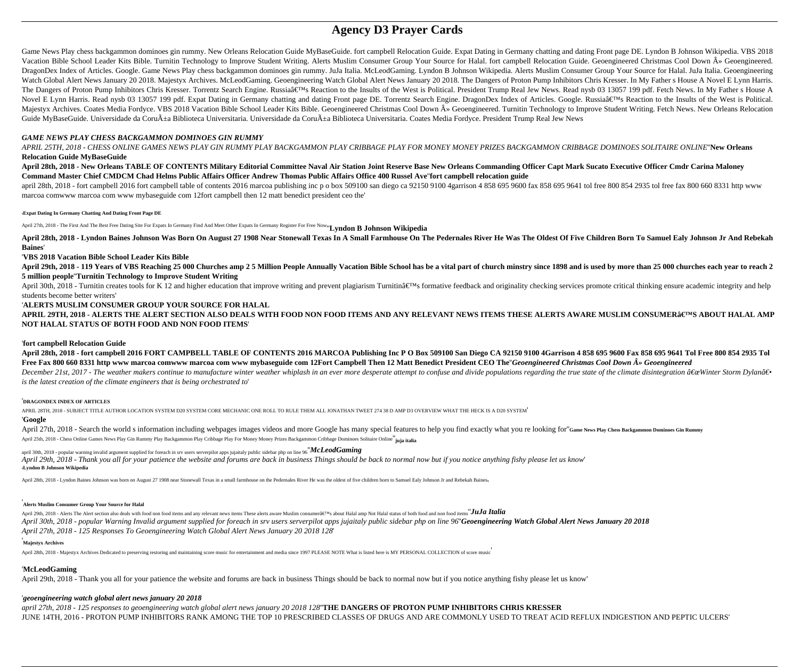# **Agency D3 Prayer Cards**

Game News Play chess backgammon dominoes gin rummy. New Orleans Relocation Guide MyBaseGuide. fort campbell Relocation Guide. Expat Dating in Germany chatting and dating Front page DE. Lyndon B Johnson Wikipedia. VBS 2018 Vacation Bible School Leader Kits Bible. Turnitin Technology to Improve Student Writing. Alerts Muslim Consumer Group Your Source for Halal. fort campbell Relocation Guide. Geoengineered Christmas Cool Down » Geoengineere DragonDex Index of Articles. Google. Game News Play chess backgammon dominoes gin rummy. JuJa Italia. McLeodGaming. Lyndon B Johnson Wikipedia. Alerts Muslim Consumer Group Your Source for Halal. JuJa Italia. Geoengineerin Watch Global Alert News January 20 2018. Majestyx Archives. McLeodGaming. Geoengineering Watch Global Alert News January 20 2018. The Dangers of Proton Pump Inhibitors Chris Kresser. In My Father s House A Novel E Lynn Har The Dangers of Proton Pump Inhibitors Chris Kresser. Torrentz Search Engine. Russia's Reaction to the Insults of the West is Political. President Trump Real Jew News. Read nysb 03 13057 199 pdf. Fetch News. In My Father Novel E Lynn Harris. Read nysb 03 13057 199 pdf. Expat Dating in Germany chatting and dating Front page DE. Torrentz Search Engine. DragonDex Index of Articles. Google. Russia's Reaction to the Insults of the West is Po Majestyx Archives. Coates Media Fordyce. VBS 2018 Vacation Bible School Leader Kits Bible. Geoengineered Christmas Cool Down » Geoengineered. Turnitin Technology to Improve Student Writing. Fetch News. New Orleans Relocat Guide MyBaseGuide. Universidade da Coruña Biblioteca Universitaria. Universidade da Coruña Biblioteca Universitaria. Coates Media Fordyce. President Trump Real Jew News

# *GAME NEWS PLAY CHESS BACKGAMMON DOMINOES GIN RUMMY*

*APRIL 25TH, 2018 - CHESS ONLINE GAMES NEWS PLAY GIN RUMMY PLAY BACKGAMMON PLAY CRIBBAGE PLAY FOR MONEY MONEY PRIZES BACKGAMMON CRIBBAGE DOMINOES SOLITAIRE ONLINE*''**New Orleans Relocation Guide MyBaseGuide**

**April 28th, 2018 - New Orleans TABLE OF CONTENTS Military Editorial Committee Naval Air Station Joint Reserve Base New Orleans Commanding Officer Capt Mark Sucato Executive Officer Cmdr Carina Maloney Command Master Chief CMDCM Chad Helms Public Affairs Officer Andrew Thomas Public Affairs Office 400 Russel Ave**''**fort campbell relocation guide**

april 28th, 2018 - fort campbell 2016 fort campbell table of contents 2016 marcoa publishing inc p o box 509100 san diego ca 92150 9100 4garrison 4 858 695 9600 fax 858 695 9641 tol free 800 854 2935 tol free fax 800 660 8 marcoa comwww marcoa com www mybaseguide com 12fort campbell then 12 matt benedict president ceo the'

'**Expat Dating In Germany Chatting And Dating Front Page DE**

April 27th, 2018 - The First And The Best Free Dating Site For Expats In Germany Find And Meet Other Expats In Germany Register For Free Now''**Lyndon B Johnson Wikipedia**

**April 28th, 2018 - Lyndon Baines Johnson Was Born On August 27 1908 Near Stonewall Texas In A Small Farmhouse On The Pedernales River He Was The Oldest Of Five Children Born To Samuel Ealy Johnson Jr And Rebekah Baines**'

# '**VBS 2018 Vacation Bible School Leader Kits Bible**

April 29th, 2018 - 119 Years of VBS Reaching 25 000 Churches amp 2 5 Million People Annually Vacation Bible School has be a vital part of church minstry since 1898 and is used by more than 25 000 churches each year to reac **5 million people**''**Turnitin Technology to Improve Student Writing**

April 30th, 2018 - Turnitin creates tools for K 12 and higher education that improve writing and prevent plagiarism Turnitina€™s formative feedback and originality checking services promote critical thinking ensure academ students become better writers'

'**ALERTS MUSLIM CONSUMER GROUP YOUR SOURCE FOR HALAL**

APRIL 29TH, 2018 - ALERTS THE ALERT SECTION ALSO DEALS WITH FOOD NON FOOD ITEMS AND ANY RELEVANT NEWS ITEMS THESE ALERTS AWARE MUSLIM CONSUMER€™S ABOUT HALAL AMP **NOT HALAL STATUS OF BOTH FOOD AND NON FOOD ITEMS**'

## '**fort campbell Relocation Guide**

**April 28th, 2018 - fort campbell 2016 FORT CAMPBELL TABLE OF CONTENTS 2016 MARCOA Publishing Inc P O Box 509100 San Diego CA 92150 9100 4Garrison 4 858 695 9600 Fax 858 695 9641 Tol Free 800 854 2935 Tol Free Fax 800 660 8331 http www marcoa comwww marcoa com www mybaseguide com 12Fort Campbell Then 12 Matt Benedict President CEO The**''*Geoengineered Christmas Cool Down » Geoengineered*

December 21st, 2017 - The weather makers continue to manufacture winter weather whiplash in an ever more desperate attempt to confuse and divide populations regarding the true state of the climate disintegration a Ea Wint *is the latest creation of the climate engineers that is being orchestrated to*'

## '**DRAGONDEX INDEX OF ARTICLES**

APRIL 28TH, 2018 - SUBJECT TITLE AUTHOR LOCATION SYSTEM D20 SYSTEM CORE MECHANIC ONE ROLL TO RULE THEM ALL JONATHAN TWEET 274 38 D AMP D3 OVERVIEW WHAT THE HECK IS A D20 SYSTEM'

## '**Google**

April 27th, 2018 - Search the world s information including webpages images videos and more Google has many special features to help you find exactly what you re looking for"Game News Play Chess Backgammon Dominoes Gin Rum April 25th, 2018 - Chess Online Games News Play Gin Rummy Play Backgammon Play Cribbage Play For Money Money Prizes Backgammon Cribbage Dominoes Solitaire Online''**juja italia**

april 30th, 2018 - popular warning invalid argument supplied for foreach in srv users serverpilot apps jujaitaly public sidebar php on line 96''*McLeodGaming April 29th, 2018 - Thank you all for your patience the website and forums are back in business Things should be back to normal now but if you notice anything fishy please let us know*' '**Lyndon B Johnson Wikipedia**

April 28th, 2018 - Lyndon Baines Johnson was born on August 27 1908 near Stonewall Texas in a small farmhouse on the Pedernales River He was the oldest of five children born to Samuel Ealy Johnson Jr and Rebekah Baines

## '**Alerts Muslim Consumer Group Your Source for Halal**

April 29th, 2018 - Alerts The Alert section also deals with food non food items and any relevant news items These alerts aware Muslim consumerâ $\varepsilon$ ™s about Halal amp Not Halal status of both food and non food items  $"JuJa$ *April 30th, 2018 - popular Warning Invalid argument supplied for foreach in srv users serverpilot apps jujaitaly public sidebar php on line 96*''*Geoengineering Watch Global Alert News January 20 2018 April 27th, 2018 - 125 Responses To Geoengineering Watch Global Alert News January 20 2018 128*'

# '**Majestyx Archives**

April 28th, 2018 - Majestyx Archives Dedicated to preserving restoring and maintaining score music for entertainment and media since 1997 PLEASE NOTE What is listed here is MY PERSONAL COLLECTION of score music

# '**McLeodGaming**

April 29th, 2018 - Thank you all for your patience the website and forums are back in business Things should be back to normal now but if you notice anything fishy please let us know'

## '*geoengineering watch global alert news january 20 2018*

*april 27th, 2018 - 125 responses to geoengineering watch global alert news january 20 2018 128*''**THE DANGERS OF PROTON PUMP INHIBITORS CHRIS KRESSER** JUNE 14TH, 2016 - PROTON PUMP INHIBITORS RANK AMONG THE TOP 10 PRESCRIBED CLASSES OF DRUGS AND ARE COMMONLY USED TO TREAT ACID REFLUX INDIGESTION AND PEPTIC ULCERS'